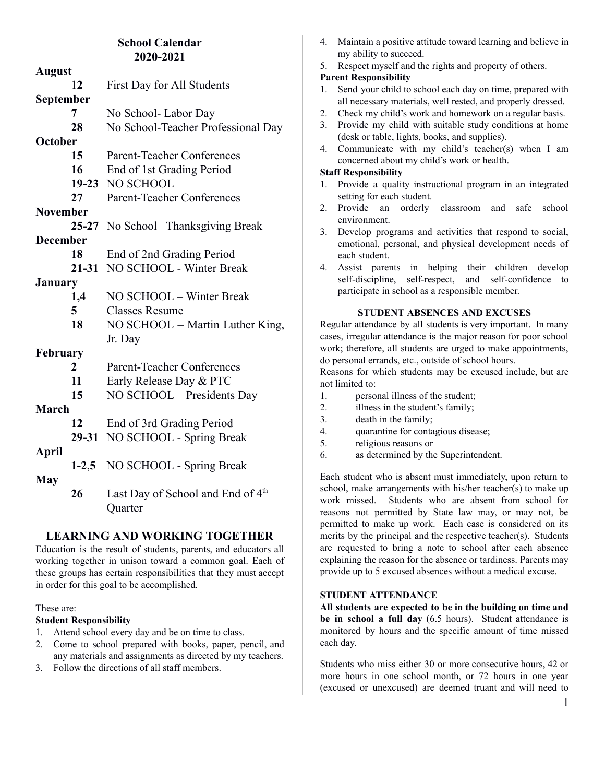# **School Calendar 2020-2021**

| <b>August</b>   |                                               |  |
|-----------------|-----------------------------------------------|--|
| 12              | First Day for All Students                    |  |
| September       |                                               |  |
| 7               | No School-Labor Day                           |  |
| 28              | No School-Teacher Professional Day            |  |
| <b>October</b>  |                                               |  |
| 15              | <b>Parent-Teacher Conferences</b>             |  |
| 16              | End of 1st Grading Period                     |  |
|                 | 19-23 NO SCHOOL                               |  |
| 27              | <b>Parent-Teacher Conferences</b>             |  |
| <b>November</b> |                                               |  |
|                 | $25 - 27$<br>No School– Thanksgiving Break    |  |
| <b>December</b> |                                               |  |
| 18              | End of 2nd Grading Period                     |  |
|                 | NO SCHOOL - Winter Break<br>$21 - 31$         |  |
| January         |                                               |  |
| 1,4             | NO SCHOOL - Winter Break                      |  |
| 5               | <b>Classes Resume</b>                         |  |
| 18              | NO SCHOOL – Martin Luther King,               |  |
|                 | Jr. Day                                       |  |
| February        |                                               |  |
| $\overline{2}$  | <b>Parent-Teacher Conferences</b>             |  |
| 11              | Early Release Day & PTC                       |  |
| 15              | NO SCHOOL - Presidents Day                    |  |
| March           |                                               |  |
| 12              | End of 3rd Grading Period                     |  |
|                 | NO SCHOOL - Spring Break<br>29-31             |  |
| April           |                                               |  |
| $1-2,5$         | NO SCHOOL - Spring Break                      |  |
| <b>May</b>      |                                               |  |
| 26              | Last Day of School and End of 4 <sup>th</sup> |  |
|                 | Quarter                                       |  |

# **LEARNING AND WORKING TOGETHER**

Education is the result of students, parents, and educators all working together in unison toward a common goal. Each of these groups has certain responsibilities that they must accept in order for this goal to be accomplished.

### These are:

### **Student Responsibility**

- 1. Attend school every day and be on time to class.
- 2. Come to school prepared with books, paper, pencil, and any materials and assignments as directed by my teachers.
- 3. Follow the directions of all staff members.
- 4. Maintain a positive attitude toward learning and believe in my ability to succeed.
- 5. Respect myself and the rights and property of others.

## **Parent Responsibility**

- 1. Send your child to school each day on time, prepared with all necessary materials, well rested, and properly dressed.
- 2. Check my child's work and homework on a regular basis.
- 3. Provide my child with suitable study conditions at home (desk or table, lights, books, and supplies).
- 4. Communicate with my child's teacher(s) when I am concerned about my child's work or health.

# **Staff Responsibility**

- 1. Provide a quality instructional program in an integrated setting for each student.
- 2. Provide an orderly classroom and safe school environment.
- 3. Develop programs and activities that respond to social, emotional, personal, and physical development needs of each student.
- 4. Assist parents in helping their children develop self-discipline, self-respect, and self-confidence to participate in school as a responsible member.

# **STUDENT ABSENCES AND EXCUSES**

Regular attendance by all students is very important. In many cases, irregular attendance is the major reason for poor school work; therefore, all students are urged to make appointments, do personal errands, etc., outside of school hours.

Reasons for which students may be excused include, but are not limited to:

- 1. personal illness of the student;
- 2. illness in the student's family;
- 3. death in the family;
- 4. quarantine for contagious disease;
- 5. religious reasons or
- 6. as determined by the Superintendent.

Each student who is absent must immediately, upon return to school, make arrangements with his/her teacher(s) to make up work missed. Students who are absent from school for reasons not permitted by State law may, or may not, be permitted to make up work. Each case is considered on its merits by the principal and the respective teacher(s). Students are requested to bring a note to school after each absence explaining the reason for the absence or tardiness. Parents may provide up to 5 excused absences without a medical excuse.

# **STUDENT ATTENDANCE**

**All students are expected to be in the building on time and be in school a full day** (6.5 hours). Student attendance is monitored by hours and the specific amount of time missed each day.

Students who miss either 30 or more consecutive hours, 42 or more hours in one school month, or 72 hours in one year (excused or unexcused) are deemed truant and will need to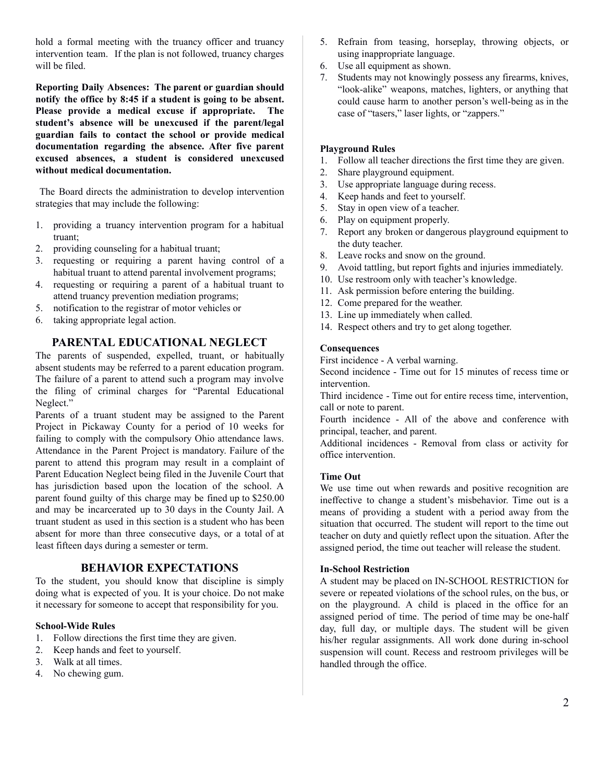hold a formal meeting with the truancy officer and truancy intervention team. If the plan is not followed, truancy charges will be filed.

**Reporting Daily Absences: The parent or guardian should notify the office by 8:45 if a student is going to be absent. Please provide a medical excuse if appropriate. The student's absence will be unexcused if the parent/legal guardian fails to contact the school or provide medical documentation regarding the absence. After five parent excused absences, a student is considered unexcused without medical documentation.**

The Board directs the administration to develop intervention strategies that may include the following:

- 1. providing a truancy intervention program for a habitual truant;
- 2. providing counseling for a habitual truant;
- 3. requesting or requiring a parent having control of a habitual truant to attend parental involvement programs;
- 4. requesting or requiring a parent of a habitual truant to attend truancy prevention mediation programs;
- 5. notification to the registrar of motor vehicles or
- 6. taking appropriate legal action.

# **PARENTAL EDUCATIONAL NEGLECT**

The parents of suspended, expelled, truant, or habitually absent students may be referred to a parent education program. The failure of a parent to attend such a program may involve the filing of criminal charges for "Parental Educational Neglect."

Parents of a truant student may be assigned to the Parent Project in Pickaway County for a period of 10 weeks for failing to comply with the compulsory Ohio attendance laws. Attendance in the Parent Project is mandatory. Failure of the parent to attend this program may result in a complaint of Parent Education Neglect being filed in the Juvenile Court that has jurisdiction based upon the location of the school. A parent found guilty of this charge may be fined up to \$250.00 and may be incarcerated up to 30 days in the County Jail. A truant student as used in this section is a student who has been absent for more than three consecutive days, or a total of at least fifteen days during a semester or term.

## **BEHAVIOR EXPECTATIONS**

To the student, you should know that discipline is simply doing what is expected of you. It is your choice. Do not make it necessary for someone to accept that responsibility for you.

## **School-Wide Rules**

- 1. Follow directions the first time they are given.
- 2. Keep hands and feet to yourself.
- 3. Walk at all times.
- 4. No chewing gum.
- 5. Refrain from teasing, horseplay, throwing objects, or using inappropriate language.
- 6. Use all equipment as shown.
- 7. Students may not knowingly possess any firearms, knives, "look-alike" weapons, matches, lighters, or anything that could cause harm to another person's well-being as in the case of "tasers," laser lights, or "zappers."

### **Playground Rules**

- 1. Follow all teacher directions the first time they are given.
- 2. Share playground equipment.
- 3. Use appropriate language during recess.
- 4. Keep hands and feet to yourself.
- 5. Stay in open view of a teacher.
- 6. Play on equipment properly.
- 7. Report any broken or dangerous playground equipment to the duty teacher.
- 8. Leave rocks and snow on the ground.
- 9. Avoid tattling, but report fights and injuries immediately.
- 10. Use restroom only with teacher's knowledge.
- 11. Ask permission before entering the building.
- 12. Come prepared for the weather.
- 13. Line up immediately when called.
- 14. Respect others and try to get along together.

#### **Consequences**

First incidence - A verbal warning.

Second incidence - Time out for 15 minutes of recess time or intervention.

Third incidence - Time out for entire recess time, intervention, call or note to parent.

Fourth incidence - All of the above and conference with principal, teacher, and parent.

Additional incidences - Removal from class or activity for office intervention.

#### **Time Out**

We use time out when rewards and positive recognition are ineffective to change a student's misbehavior. Time out is a means of providing a student with a period away from the situation that occurred. The student will report to the time out teacher on duty and quietly reflect upon the situation. After the assigned period, the time out teacher will release the student.

#### **In-School Restriction**

A student may be placed on IN-SCHOOL RESTRICTION for severe or repeated violations of the school rules, on the bus, or on the playground. A child is placed in the office for an assigned period of time. The period of time may be one-half day, full day, or multiple days. The student will be given his/her regular assignments. All work done during in-school suspension will count. Recess and restroom privileges will be handled through the office.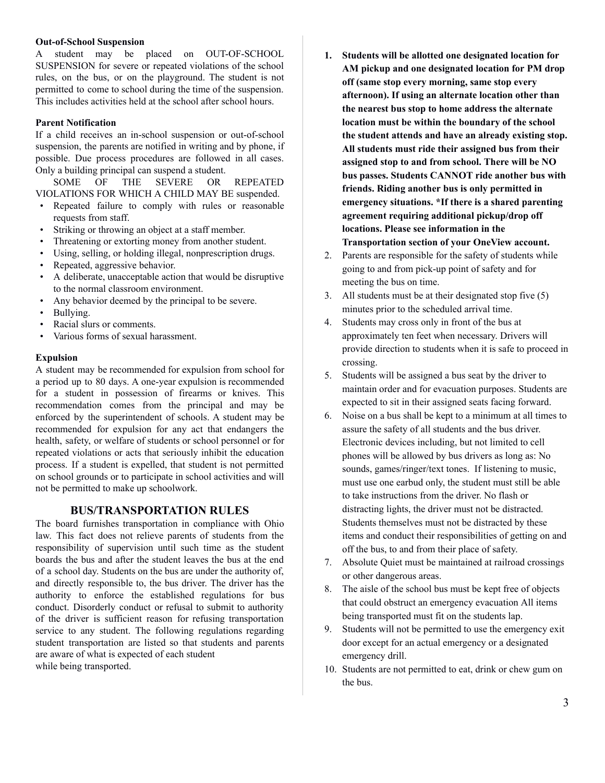#### **Out-of-School Suspension**

A student may be placed on OUT-OF-SCHOOL SUSPENSION for severe or repeated violations of the school rules, on the bus, or on the playground. The student is not permitted to come to school during the time of the suspension. This includes activities held at the school after school hours.

## **Parent Notification**

If a child receives an in-school suspension or out-of-school suspension, the parents are notified in writing and by phone, if possible. Due process procedures are followed in all cases. Only a building principal can suspend a student.

SOME OF THE SEVERE OR REPEATED VIOLATIONS FOR WHICH A CHILD MAY BE suspended.

- Repeated failure to comply with rules or reasonable requests from staff.
- Striking or throwing an object at a staff member.
- Threatening or extorting money from another student.
- Using, selling, or holding illegal, nonprescription drugs.
- Repeated, aggressive behavior.
- A deliberate, unacceptable action that would be disruptive to the normal classroom environment.
- Any behavior deemed by the principal to be severe.
- Bullying.
- Racial slurs or comments.
- Various forms of sexual harassment.

#### **Expulsion**

A student may be recommended for expulsion from school for a period up to 80 days. A one-year expulsion is recommended for a student in possession of firearms or knives. This recommendation comes from the principal and may be enforced by the superintendent of schools. A student may be recommended for expulsion for any act that endangers the health, safety, or welfare of students or school personnel or for repeated violations or acts that seriously inhibit the education process. If a student is expelled, that student is not permitted on school grounds or to participate in school activities and will not be permitted to make up schoolwork.

### **BUS/TRANSPORTATION RULES**

The board furnishes transportation in compliance with Ohio law. This fact does not relieve parents of students from the responsibility of supervision until such time as the student boards the bus and after the student leaves the bus at the end of a school day. Students on the bus are under the authority of, and directly responsible to, the bus driver. The driver has the authority to enforce the established regulations for bus conduct. Disorderly conduct or refusal to submit to authority of the driver is sufficient reason for refusing transportation service to any student. The following regulations regarding student transportation are listed so that students and parents are aware of what is expected of each student while being transported.

- **1. Students will be allotted one designated location for AM pickup and one designated location for PM drop off (same stop every morning, same stop every afternoon). If using an alternate location other than the nearest bus stop to home address the alternate location must be within the boundary of the school the student attends and have an already existing stop. All students must ride their assigned bus from their assigned stop to and from school. There will be NO bus passes. Students CANNOT ride another bus with friends. Riding another bus is only permitted in emergency situations. \*If there is a shared parenting agreement requiring additional pickup/drop off locations. Please see information in the Transportation section of your OneView account.**
- 2. Parents are responsible for the safety of students while going to and from pick-up point of safety and for meeting the bus on time.
- 3. All students must be at their designated stop five (5) minutes prior to the scheduled arrival time.
- 4. Students may cross only in front of the bus at approximately ten feet when necessary. Drivers will provide direction to students when it is safe to proceed in crossing.
- 5. Students will be assigned a bus seat by the driver to maintain order and for evacuation purposes. Students are expected to sit in their assigned seats facing forward.
- 6. Noise on a bus shall be kept to a minimum at all times to assure the safety of all students and the bus driver. Electronic devices including, but not limited to cell phones will be allowed by bus drivers as long as: No sounds, games/ringer/text tones. If listening to music, must use one earbud only, the student must still be able to take instructions from the driver. No flash or distracting lights, the driver must not be distracted. Students themselves must not be distracted by these items and conduct their responsibilities of getting on and off the bus, to and from their place of safety.
- 7. Absolute Quiet must be maintained at railroad crossings or other dangerous areas.
- 8. The aisle of the school bus must be kept free of objects that could obstruct an emergency evacuation All items being transported must fit on the students lap.
- 9. Students will not be permitted to use the emergency exit door except for an actual emergency or a designated emergency drill.
- 10. Students are not permitted to eat, drink or chew gum on the bus.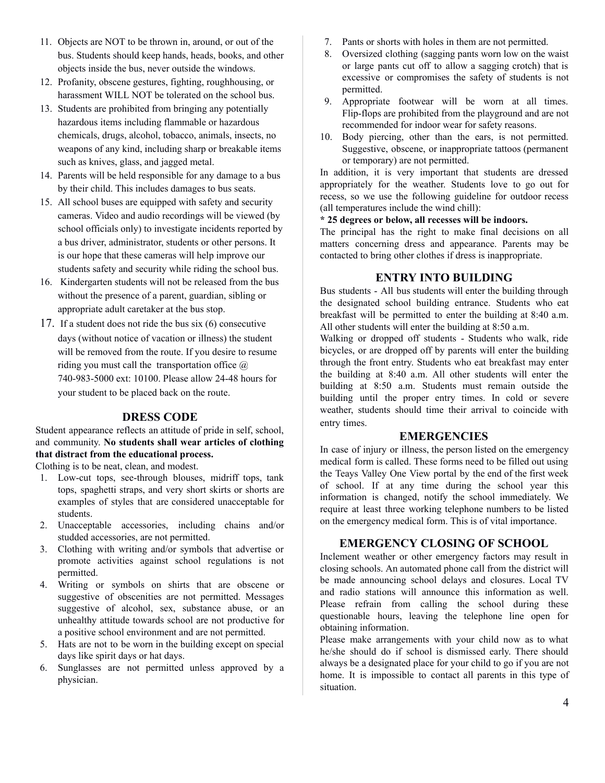- 11. Objects are NOT to be thrown in, around, or out of the bus. Students should keep hands, heads, books, and other objects inside the bus, never outside the windows.
- 12. Profanity, obscene gestures, fighting, roughhousing, or harassment WILL NOT be tolerated on the school bus.
- 13. Students are prohibited from bringing any potentially hazardous items including flammable or hazardous chemicals, drugs, alcohol, tobacco, animals, insects, no weapons of any kind, including sharp or breakable items such as knives, glass, and jagged metal.
- 14. Parents will be held responsible for any damage to a bus by their child. This includes damages to bus seats.
- 15. All school buses are equipped with safety and security cameras. Video and audio recordings will be viewed (by school officials only) to investigate incidents reported by a bus driver, administrator, students or other persons. It is our hope that these cameras will help improve our students safety and security while riding the school bus.
- 16. Kindergarten students will not be released from the bus without the presence of a parent, guardian, sibling or appropriate adult caretaker at the bus stop.
- 17. If a student does not ride the bus six (6) consecutive days (without notice of vacation or illness) the student will be removed from the route. If you desire to resume riding you must call the transportation office  $\omega$ 740-983-5000 ext: 10100. Please allow 24-48 hours for your student to be placed back on the route.

## **DRESS CODE**

Student appearance reflects an attitude of pride in self, school, and community. **No students shall wear articles of clothing that distract from the educational process.**

Clothing is to be neat, clean, and modest.

- 1. Low-cut tops, see-through blouses, midriff tops, tank tops, spaghetti straps, and very short skirts or shorts are examples of styles that are considered unacceptable for students.
- 2. Unacceptable accessories, including chains and/or studded accessories, are not permitted.
- 3. Clothing with writing and/or symbols that advertise or promote activities against school regulations is not permitted.
- 4. Writing or symbols on shirts that are obscene or suggestive of obscenities are not permitted. Messages suggestive of alcohol, sex, substance abuse, or an unhealthy attitude towards school are not productive for a positive school environment and are not permitted.
- 5. Hats are not to be worn in the building except on special days like spirit days or hat days.
- 6. Sunglasses are not permitted unless approved by a physician.
- 7. Pants or shorts with holes in them are not permitted.
- 8. Oversized clothing (sagging pants worn low on the waist or large pants cut off to allow a sagging crotch) that is excessive or compromises the safety of students is not permitted.
- 9. Appropriate footwear will be worn at all times. Flip-flops are prohibited from the playground and are not recommended for indoor wear for safety reasons.
- 10. Body piercing, other than the ears, is not permitted. Suggestive, obscene, or inappropriate tattoos (permanent or temporary) are not permitted.

In addition, it is very important that students are dressed appropriately for the weather. Students love to go out for recess, so we use the following guideline for outdoor recess (all temperatures include the wind chill):

#### **\* 25 degrees or below, all recesses will be indoors.**

The principal has the right to make final decisions on all matters concerning dress and appearance. Parents may be contacted to bring other clothes if dress is inappropriate.

# **ENTRY INTO BUILDING**

Bus students - All bus students will enter the building through the designated school building entrance. Students who eat breakfast will be permitted to enter the building at 8:40 a.m. All other students will enter the building at 8:50 a.m.

Walking or dropped off students - Students who walk, ride bicycles, or are dropped off by parents will enter the building through the front entry. Students who eat breakfast may enter the building at 8:40 a.m. All other students will enter the building at 8:50 a.m. Students must remain outside the building until the proper entry times. In cold or severe weather, students should time their arrival to coincide with entry times.

## **EMERGENCIES**

In case of injury or illness, the person listed on the emergency medical form is called. These forms need to be filled out using the Teays Valley One View portal by the end of the first week of school. If at any time during the school year this information is changed, notify the school immediately. We require at least three working telephone numbers to be listed on the emergency medical form. This is of vital importance.

### **EMERGENCY CLOSING OF SCHOOL**

Inclement weather or other emergency factors may result in closing schools. An automated phone call from the district will be made announcing school delays and closures. Local TV and radio stations will announce this information as well. Please refrain from calling the school during these questionable hours, leaving the telephone line open for obtaining information.

Please make arrangements with your child now as to what he/she should do if school is dismissed early. There should always be a designated place for your child to go if you are not home. It is impossible to contact all parents in this type of situation.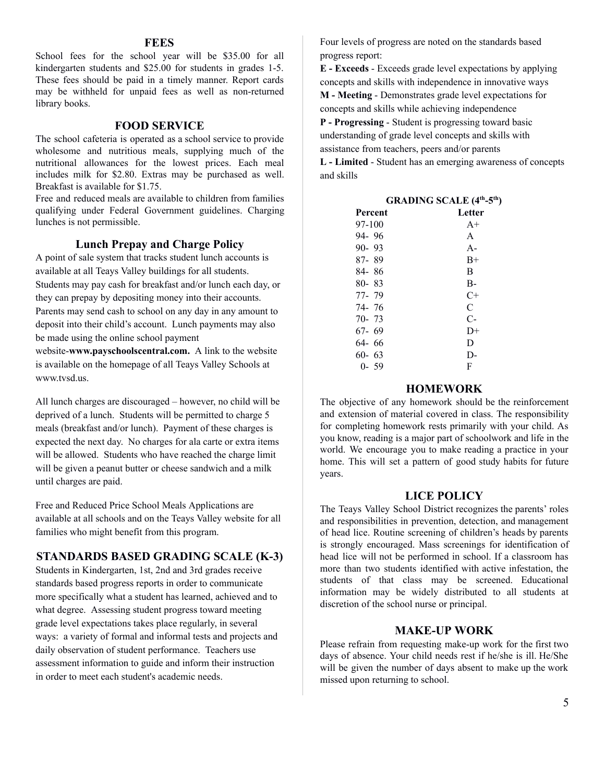### **FEES**

School fees for the school year will be \$35.00 for all kindergarten students and \$25.00 for students in grades 1-5. These fees should be paid in a timely manner. Report cards may be withheld for unpaid fees as well as non-returned library books.

## **FOOD SERVICE**

The school cafeteria is operated as a school service to provide wholesome and nutritious meals, supplying much of the nutritional allowances for the lowest prices. Each meal includes milk for \$2.80. Extras may be purchased as well. Breakfast is available for \$1.75.

Free and reduced meals are available to children from families qualifying under Federal Government guidelines. Charging lunches is not permissible.

### **Lunch Prepay and Charge Policy**

A point of sale system that tracks student lunch accounts is available at all Teays Valley buildings for all students. Students may pay cash for breakfast and/or lunch each day, or they can prepay by depositing money into their accounts. Parents may send cash to school on any day in any amount to deposit into their child's account. Lunch payments may also be made using the online school payment

website-**www.payschoolscentral.com.** A link to the website is available on the homepage of all Teays Valley Schools at www.tvsd.us.

All lunch charges are discouraged – however, no child will be deprived of a lunch. Students will be permitted to charge 5 meals (breakfast and/or lunch). Payment of these charges is expected the next day. No charges for ala carte or extra items will be allowed. Students who have reached the charge limit will be given a peanut butter or cheese sandwich and a milk until charges are paid.

Free and Reduced Price School Meals Applications are available at all schools and on the Teays Valley website for all families who might benefit from this program.

## **STANDARDS BASED GRADING SCALE (K-3)**

Students in Kindergarten, 1st, 2nd and 3rd grades receive standards based progress reports in order to communicate more specifically what a student has learned, achieved and to what degree. Assessing student progress toward meeting grade level expectations takes place regularly, in several ways: a variety of formal and informal tests and projects and daily observation of student performance. Teachers use assessment information to guide and inform their instruction in order to meet each student's academic needs.

Four levels of progress are noted on the standards based progress report:

**E - Exceeds** - Exceeds grade level expectations by applying concepts and skills with independence in innovative ways **M - Meeting** - Demonstrates grade level expectations for concepts and skills while achieving independence

**P - Progressing** - Student is progressing toward basic understanding of grade level concepts and skills with assistance from teachers, peers and/or parents

**L - Limited** - Student has an emerging awareness of concepts and skills

| <b>GRADING SCALE (4th-5th)</b> |        |  |
|--------------------------------|--------|--|
| Percent                        | Letter |  |
| 97-100                         | $A+$   |  |
| 94-96                          | A      |  |
| $90 - 93$                      | $A -$  |  |
| 87-89                          | $B+$   |  |
| 84-86                          | B      |  |
| $80 - 83$                      | $B-$   |  |
| 77-79                          | $C+$   |  |
| 74-76                          | C      |  |
| 70-73                          | $C-$   |  |
| 67-69                          | $D+$   |  |
| 64-66                          | D      |  |
| $60 - 63$                      | D-     |  |
| $0 - 59$                       | F      |  |

# **HOMEWORK**

The objective of any homework should be the reinforcement and extension of material covered in class. The responsibility for completing homework rests primarily with your child. As you know, reading is a major part of schoolwork and life in the world. We encourage you to make reading a practice in your home. This will set a pattern of good study habits for future years.

#### **LICE POLICY**

The Teays Valley School District recognizes the parents' roles and responsibilities in prevention, detection, and management of head lice. Routine screening of children's heads by parents is strongly encouraged. Mass screenings for identification of head lice will not be performed in school. If a classroom has more than two students identified with active infestation, the students of that class may be screened. Educational information may be widely distributed to all students at discretion of the school nurse or principal.

# **MAKE-UP WORK**

Please refrain from requesting make-up work for the first two days of absence. Your child needs rest if he/she is ill. He/She will be given the number of days absent to make up the work missed upon returning to school.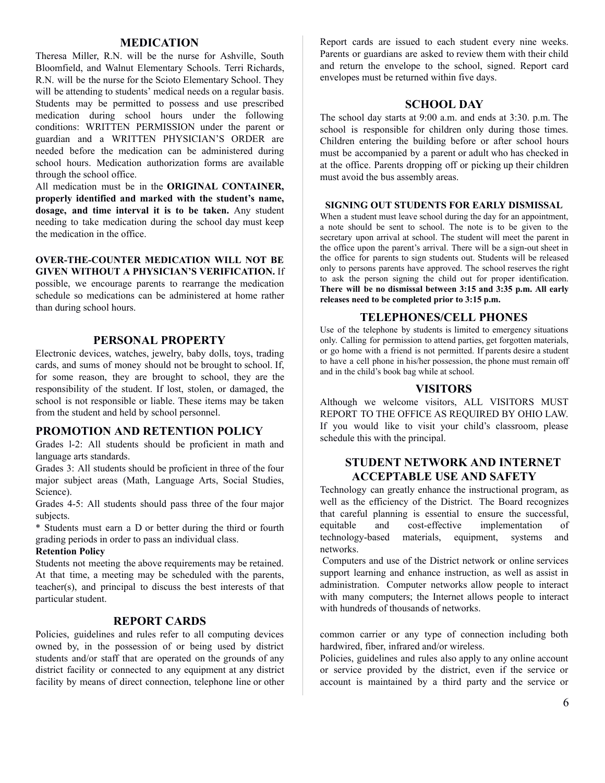#### **MEDICATION**

Theresa Miller, R.N. will be the nurse for Ashville, South Bloomfield, and Walnut Elementary Schools. Terri Richards, R.N. will be the nurse for the Scioto Elementary School. They will be attending to students' medical needs on a regular basis. Students may be permitted to possess and use prescribed medication during school hours under the following conditions: WRITTEN PERMISSION under the parent or guardian and a WRITTEN PHYSICIAN'S ORDER are needed before the medication can be administered during school hours. Medication authorization forms are available through the school office.

All medication must be in the **ORIGINAL CONTAINER, properly identified and marked with the student's name, dosage, and time interval it is to be taken.** Any student needing to take medication during the school day must keep the medication in the office.

#### **OVER-THE-COUNTER MEDICATION WILL NOT BE GIVEN WITHOUT A PHYSICIAN'S VERIFICATION.** If

possible, we encourage parents to rearrange the medication schedule so medications can be administered at home rather than during school hours.

### **PERSONAL PROPERTY**

Electronic devices, watches, jewelry, baby dolls, toys, trading cards, and sums of money should not be brought to school. If, for some reason, they are brought to school, they are the responsibility of the student. If lost, stolen, or damaged, the school is not responsible or liable. These items may be taken from the student and held by school personnel.

## **PROMOTION AND RETENTION POLICY**

Grades l-2: All students should be proficient in math and language arts standards.

Grades 3: All students should be proficient in three of the four major subject areas (Math, Language Arts, Social Studies, Science).

Grades 4-5: All students should pass three of the four major subjects.

\* Students must earn a D or better during the third or fourth grading periods in order to pass an individual class.

#### **Retention Policy**

Students not meeting the above requirements may be retained. At that time, a meeting may be scheduled with the parents, teacher(s), and principal to discuss the best interests of that particular student.

# **REPORT CARDS**

Policies, guidelines and rules refer to all computing devices owned by, in the possession of or being used by district students and/or staff that are operated on the grounds of any district facility or connected to any equipment at any district facility by means of direct connection, telephone line or other Report cards are issued to each student every nine weeks. Parents or guardians are asked to review them with their child and return the envelope to the school, signed. Report card envelopes must be returned within five days.

# **SCHOOL DAY**

The school day starts at 9:00 a.m. and ends at 3:30. p.m. The school is responsible for children only during those times. Children entering the building before or after school hours must be accompanied by a parent or adult who has checked in at the office. Parents dropping off or picking up their children must avoid the bus assembly areas.

#### **SIGNING OUT STUDENTS FOR EARLY DISMISSAL**

When a student must leave school during the day for an appointment, a note should be sent to school. The note is to be given to the secretary upon arrival at school. The student will meet the parent in the office upon the parent's arrival. There will be a sign-out sheet in the office for parents to sign students out. Students will be released only to persons parents have approved. The school reserves the right to ask the person signing the child out for proper identification. **There will be no dismissal between 3:15 and 3:35 p.m. All early releases need to be completed prior to 3:15 p.m.** 

### **TELEPHONES/CELL PHONES**

Use of the telephone by students is limited to emergency situations only. Calling for permission to attend parties, get forgotten materials, or go home with a friend is not permitted. If parents desire a student to have a cell phone in his/her possession, the phone must remain off and in the child's book bag while at school.

#### **VISITORS**

Although we welcome visitors, ALL VISITORS MUST REPORT TO THE OFFICE AS REQUIRED BY OHIO LAW. If you would like to visit your child's classroom, please schedule this with the principal.

# **STUDENT NETWORK AND INTERNET ACCEPTABLE USE AND SAFETY**

Technology can greatly enhance the instructional program, as well as the efficiency of the District. The Board recognizes that careful planning is essential to ensure the successful, equitable and cost-effective implementation of technology-based materials, equipment, systems and networks.

Computers and use of the District network or online services support learning and enhance instruction, as well as assist in administration. Computer networks allow people to interact with many computers; the Internet allows people to interact with hundreds of thousands of networks.

common carrier or any type of connection including both hardwired, fiber, infrared and/or wireless.

Policies, guidelines and rules also apply to any online account or service provided by the district, even if the service or account is maintained by a third party and the service or